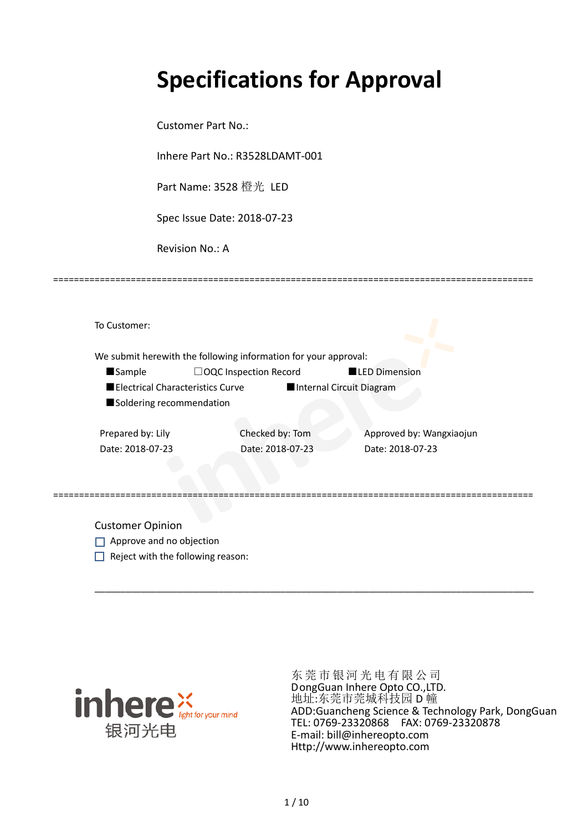# **Specifications for Approval**

Customer Part No.:

Inhere Part No.: R3528LDAMT-001

Part Name: 3528 橙光 LED

Spec Issue Date: 2018-07-23

Revision No.: A

|                                  | We submit herewith the following information for your approval: |                  |                          |
|----------------------------------|-----------------------------------------------------------------|------------------|--------------------------|
| <b>Sample</b>                    | □OQC Inspection Record                                          |                  | LED Dimension            |
| Electrical Characteristics Curve |                                                                 |                  | Internal Circuit Diagram |
| Soldering recommendation         |                                                                 |                  |                          |
| Prepared by: Lily                |                                                                 | Checked by: Tom  | Approved by: Wangxiaojun |
| Date: 2018-07-23                 |                                                                 | Date: 2018-07-23 | Date: 2018-07-23         |
|                                  |                                                                 |                  |                          |
|                                  |                                                                 |                  |                          |

\_\_\_\_\_\_\_\_\_\_\_\_\_\_\_\_\_\_\_\_\_\_\_\_\_\_\_\_\_\_\_\_\_\_\_\_\_\_\_\_\_\_\_\_\_\_\_\_\_\_\_\_\_\_\_\_\_\_\_\_\_\_\_\_\_\_\_\_\_\_\_\_\_\_\_\_\_\_\_\_\_\_\_\_\_

=============================================================================================

Approve and no objection

 $\Box$  Reject with the following reason:



东莞市银河光电有限公司 DongGuan Inhere Opto CO.,LTD. 地址:东莞市莞城科技园 D 幢 ADD:Guancheng Science & Technology Park, DongGuan TEL: 0769-23320868 FAX: 0769-23320878 E-mail: bill@inhereopto.com Http://www.inhereopto.com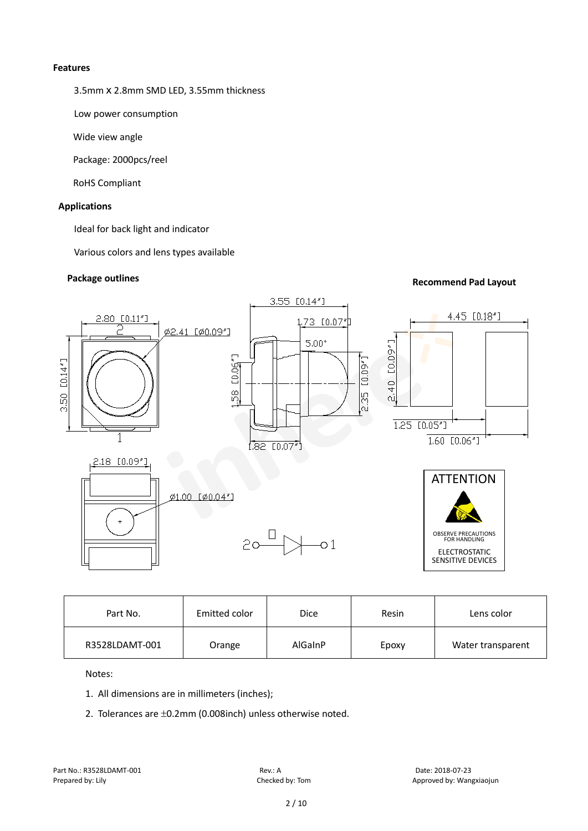#### **Features**

3.5mmⅹ2.8mm SMD LED, 3.55mm thickness

Low power consumption

Wide view angle

Package: 2000pcs/reel

RoHS Compliant

#### **Applications**

Ideal for back light and indicator

Various colors and lens types available



| Part No.       | Emitted color | Dice    | Resin | Lens color        |
|----------------|---------------|---------|-------|-------------------|
| R3528LDAMT-001 | Orange        | AlGaInP | Epoxy | Water transparent |

Notes:

- 1. All dimensions are in millimeters (inches);
- 2. Tolerances are ±0.2mm (0.008inch) unless otherwise noted.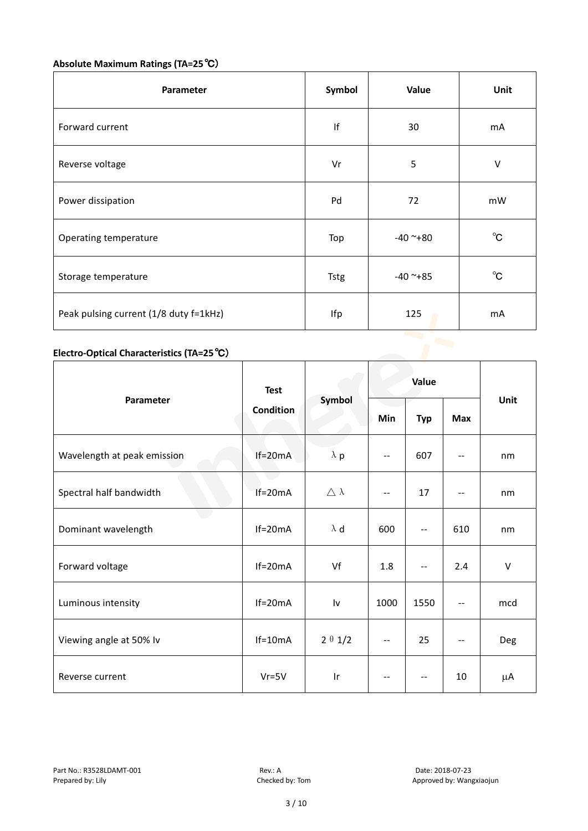## **Absolute Maximum Ratings (TA=25**℃)

| Parameter                              | Symbol      | Value      | Unit         |
|----------------------------------------|-------------|------------|--------------|
| Forward current                        |             | 30         | mA           |
| Reverse voltage                        | Vr          | 5          | V            |
| Power dissipation                      | Pd          | 72         | mW           |
| Operating temperature                  | Top         | $-40$ ~+80 | $^{\circ}$ C |
| Storage temperature                    | <b>Tstg</b> | $-40$ ~+85 | $^{\circ}$ C |
| Peak pulsing current (1/8 duty f=1kHz) | Ifp         | 125        | mA           |

### **Electro-Optical Characteristics (TA=25**℃)

|                             | <b>Test</b> | Symbol              | Value                    |                          |                          |        |
|-----------------------------|-------------|---------------------|--------------------------|--------------------------|--------------------------|--------|
| Parameter                   | Condition   |                     | Min                      | <b>Typ</b>               | Max                      | Unit   |
| Wavelength at peak emission | $If=20mA$   | $\lambda$ p         | --                       | 607                      |                          | nm     |
| Spectral half bandwidth     | $If=20mA$   | $\triangle \lambda$ | $\overline{\phantom{m}}$ | 17                       | $\overline{\phantom{a}}$ | nm     |
| Dominant wavelength         | $If=20mA$   | $\lambda$ d         | 600                      | $\overline{a}$           | 610                      | nm     |
| Forward voltage             | $If=20mA$   | Vf                  | 1.8                      | $\qquad \qquad -$        | 2.4                      | $\vee$ |
| Luminous intensity          | $If=20mA$   | I٧                  | 1000                     | 1550                     | $\overline{\phantom{a}}$ | mcd    |
| Viewing angle at 50% lv     | $If=10mA$   | $2 \theta 1/2$      | --                       | 25                       | $-$                      | Deg    |
| Reverse current             | $Vr = 5V$   | Ir                  | $-\,-$                   | $\overline{\phantom{m}}$ | 10                       | μA     |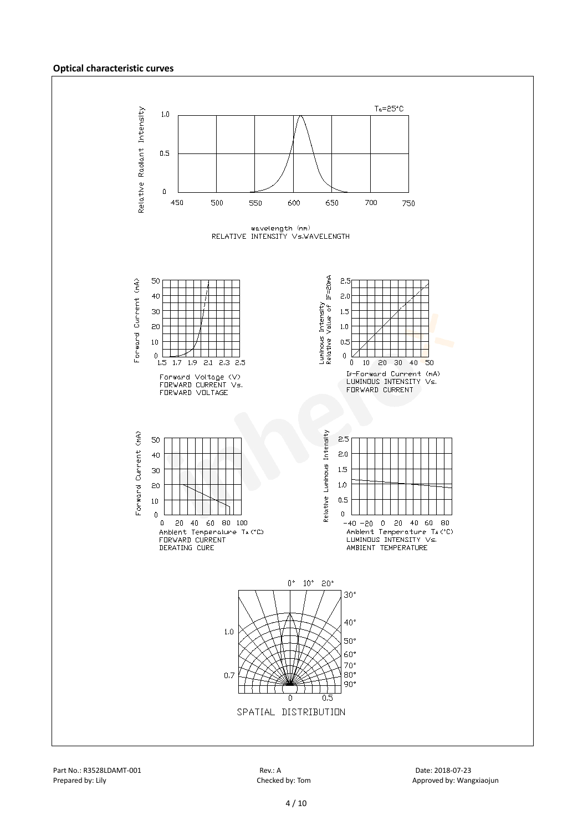#### **Optical characteristic curves**

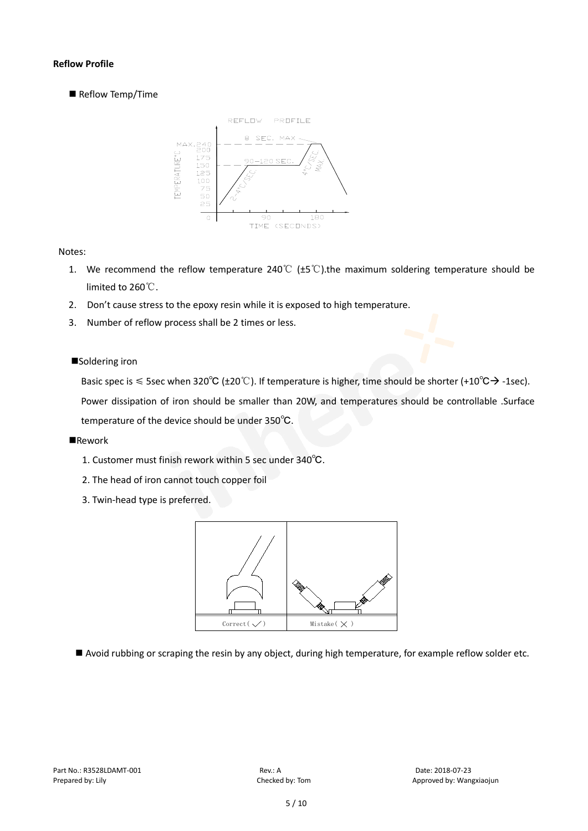#### **Reflow Profile**

Reflow Temp/Time



#### Notes:

- 1. We recommend the reflow temperature 240°C ( $\pm$ 5°C).the maximum soldering temperature should be limited to 260℃.
- 2. Don't cause stress to the epoxy resin while it is exposed to high temperature.
- 3. Number of reflow process shall be 2 times or less.

#### ■Soldering iron

Basic spec is  $\leq$  5sec when 320°C (±20°C). If temperature is higher, time should be shorter (+10°C $\rightarrow$ -1sec).

Power dissipation of iron should be smaller than 20W, and temperatures should be controllable .Surface temperature of the device should be under 350℃.

#### **Rework**

- 1. Customer must finish rework within 5 sec under 340℃.
- 2. The head of iron cannot touch copper foil
- 3. Twin-head type is preferred.



Avoid rubbing or scraping the resin by any object, during high temperature, for example reflow solder etc.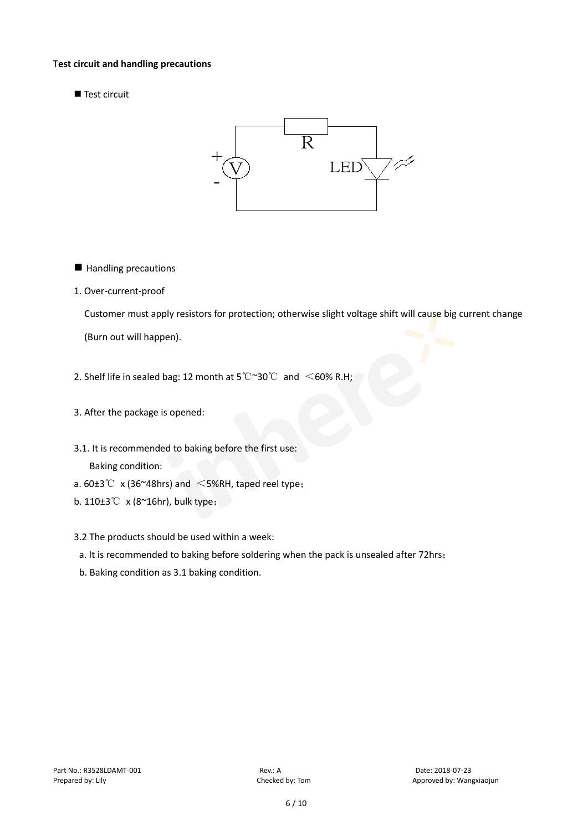#### T**est circuit and handling precautions**

Test circuit



- **Handling precautions**
- 1. Over-current-proof

Customer must apply resistors for protection; otherwise slight voltage shift will cause big current change

(Burn out will happen).

- 2. Shelf life in sealed bag: 12 month at 5℃~30℃ and <60% R.H;
- 3. After the package is opened:
- 3.1. It is recommended to baking before the first use: Baking condition:
- a.  $60±3^{\circ}$  x (36~48hrs) and <5%RH, taped reel type;
- b. 110±3℃ x (8~16hr), bulk type;
- 3.2 The products should be used within a week:
- a. It is recommended to baking before soldering when the pack is unsealed after 72hrs;
- b. Baking condition as 3.1 baking condition.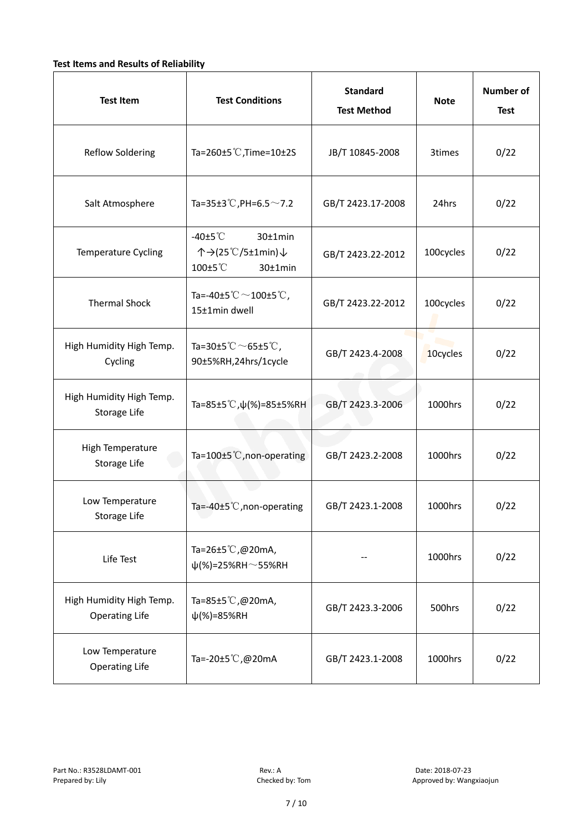#### **Test Items and Results of Reliability**

| <b>Test Item</b>                                  | <b>Test Conditions</b>                                                         | <b>Standard</b><br><b>Test Method</b> | <b>Note</b> | <b>Number of</b><br><b>Test</b> |
|---------------------------------------------------|--------------------------------------------------------------------------------|---------------------------------------|-------------|---------------------------------|
| <b>Reflow Soldering</b>                           | Ta=260 $\pm$ 5 °C, Time=10 $\pm$ 2S                                            | JB/T 10845-2008                       | 3times      | 0/22                            |
| Salt Atmosphere                                   | Ta=35±3°C, PH=6.5 $\sim$ 7.2                                                   | GB/T 2423.17-2008                     | 24hrs       | 0/22                            |
| Temperature Cycling                               | -40 $±5^{\circ}$ C<br>$30±1$ min<br>个→(25℃/5±1min)↓<br>100±5°C<br>$30±1$ min   | GB/T 2423.22-2012                     | 100cycles   | 0/22                            |
| <b>Thermal Shock</b>                              | Ta=-40±5 $\degree \text{C}$ $\sim$ 100±5 $\degree \text{C}$ ,<br>15±1min dwell | GB/T 2423.22-2012                     | 100cycles   | 0/22                            |
| High Humidity High Temp.<br>Cycling               | Ta=30±5 °C $\sim$ 65±5 °C,<br>90±5%RH,24hrs/1cycle                             | GB/T 2423.4-2008                      | 10cycles    | 0/22                            |
| High Humidity High Temp.<br>Storage Life          | Ta=85±5 °C, $\psi$ (%)=85±5%RH                                                 | GB/T 2423.3-2006                      | 1000hrs     | 0/22                            |
| High Temperature<br><b>Storage Life</b>           | Ta=100±5°C, non-operating                                                      | GB/T 2423.2-2008                      | 1000hrs     | 0/22                            |
| Low Temperature<br>Storage Life                   | Ta=-40±5℃, non-operating                                                       | GB/T 2423.1-2008                      | 1000hrs     | 0/22                            |
| Life Test                                         | Ta=26±5°C,@20mA,<br>$\psi$ (%)=25%RH~55%RH                                     |                                       | 1000hrs     | 0/22                            |
| High Humidity High Temp.<br><b>Operating Life</b> | Ta=85±5 $\degree$ C, @20mA,<br>$\psi$ (%)=85%RH                                | GB/T 2423.3-2006                      | 500hrs      | 0/22                            |
| Low Temperature<br><b>Operating Life</b>          | Ta=-20±5℃,@20mA                                                                | GB/T 2423.1-2008                      | 1000hrs     | 0/22                            |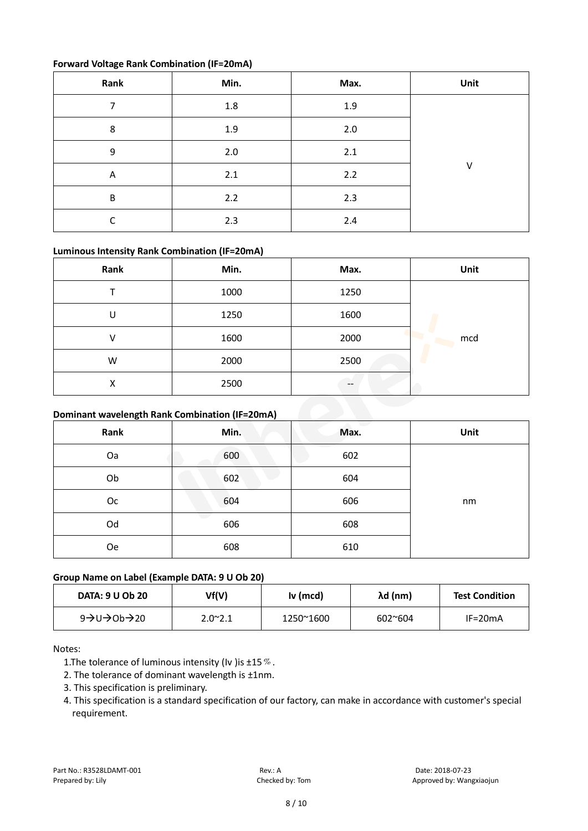#### **Forward Voltage Rank Combination (IF=20mA)**

| Rank | Min.    | Max. | Unit |
|------|---------|------|------|
| 7    | $1.8\,$ | 1.9  |      |
| 8    | 1.9     | 2.0  |      |
| 9    | 2.0     | 2.1  |      |
| A    | 2.1     | 2.2  | V    |
| B    | 2.2     | 2.3  |      |
| ┌    | 2.3     | 2.4  |      |

#### **Luminous Intensity Rank Combination (IF=20mA)**

| Rank                                           | Min. | Max. | Unit |  |
|------------------------------------------------|------|------|------|--|
|                                                | 1000 | 1250 |      |  |
| U                                              | 1250 | 1600 |      |  |
| V                                              | 1600 | 2000 | mcd  |  |
| W                                              | 2000 | 2500 |      |  |
| X                                              | 2500 | --   |      |  |
| Dominant wavelength Rank Combination (IF=20mA) |      |      |      |  |

#### **Dominant wavelength Rank Combination (IF=20mA)**

| Rank      | Min. | Max. | Unit |
|-----------|------|------|------|
| Oa        | 600  | 602  |      |
| Ob        | 602  | 604  |      |
| Oc        | 604  | 606  | nm   |
| Od        | 606  | 608  |      |
| <b>Oe</b> | 608  | 610  |      |

#### **Group Name on Label (Example DATA: 9 U Ob 20)**

| <b>DATA: 9 U Ob 20</b>                              | Vf(V)           | Iv (mcd)  | λd (nm)          | <b>Test Condition</b> |
|-----------------------------------------------------|-----------------|-----------|------------------|-----------------------|
| 9 $\rightarrow$ U $\rightarrow$ Ob $\rightarrow$ 20 | $2.0^{\sim}2.1$ | 1250~1600 | $602^{\circ}604$ | $IF=20mA$             |

#### Notes:

- 1. The tolerance of luminous intensity (Iv ) is  $\pm 15\%$ .
- 2. The tolerance of dominant wavelength is ±1nm.
- 3. This specification is preliminary.
- 4. This specification is a standard specification of our factory, can make in accordance with customer's special requirement.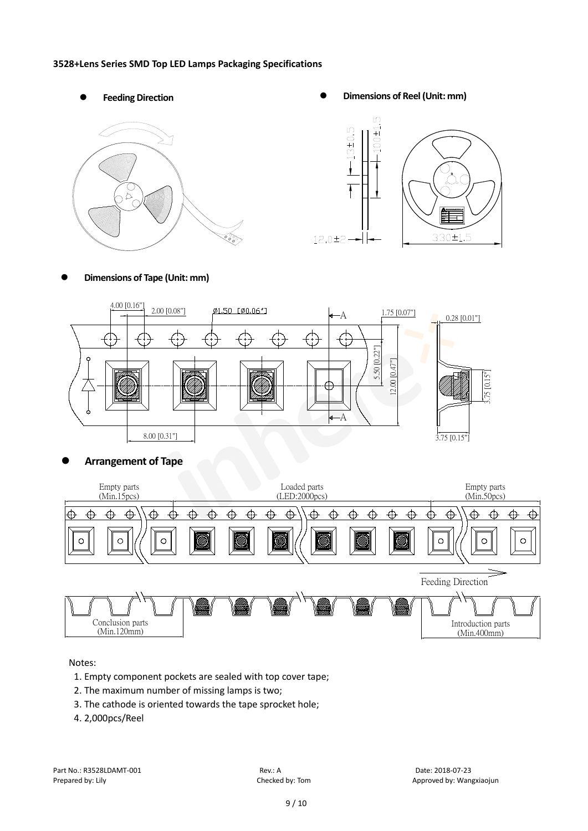#### **3528+Lens Series SMD Top LED Lamps Packaging Specifications**







#### **Dimensions of Tape (Unit: mm)**



#### **Arrangement of Tape**



#### Notes:

- 1. Empty component pockets are sealed with top cover tape;
- 2. The maximum number of missing lamps is two;
- 3. The cathode is oriented towards the tape sprocket hole;
- 4. 2,000pcs/Reel